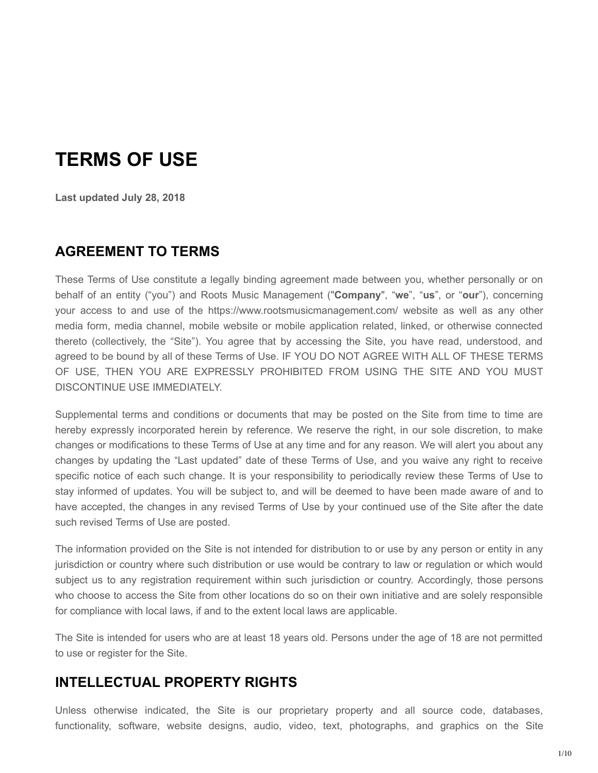# **TERMS OF USE**

**Last updated July 28, 2018**

#### **AGREEMENT TO TERMS**

These Terms of Use constitute a legally binding agreement made between you, whether personally or on behalf of an entity ("you") and Roots Music Management ("**Company**", "**we**", "**us**", or "**our**"), concerning your access to and use of the https://www.rootsmusicmanagement.com/ website as well as any other media form, media channel, mobile website or mobile application related, linked, or otherwise connected thereto (collectively, the "Site"). You agree that by accessing the Site, you have read, understood, and agreed to be bound by all of these Terms of Use. IF YOU DO NOT AGREE WITH ALL OF THESE TERMS OF USE, THEN YOU ARE EXPRESSLY PROHIBITED FROM USING THE SITE AND YOU MUST DISCONTINUE USE IMMEDIATELY.

Supplemental terms and conditions or documents that may be posted on the Site from time to time are hereby expressly incorporated herein by reference. We reserve the right, in our sole discretion, to make changes or modifications to these Terms of Use at any time and for any reason. We will alert you about any changes by updating the "Last updated" date of these Terms of Use, and you waive any right to receive specific notice of each such change. It is your responsibility to periodically review these Terms of Use to stay informed of updates. You will be subject to, and will be deemed to have been made aware of and to have accepted, the changes in any revised Terms of Use by your continued use of the Site after the date such revised Terms of Use are posted.

The information provided on the Site is not intended for distribution to or use by any person or entity in any jurisdiction or country where such distribution or use would be contrary to law or regulation or which would subject us to any registration requirement within such jurisdiction or country. Accordingly, those persons who choose to access the Site from other locations do so on their own initiative and are solely responsible for compliance with local laws, if and to the extent local laws are applicable.

The Site is intended for users who are at least 18 years old. Persons under the age of 18 are not permitted to use or register for the Site.

#### **INTELLECTUAL PROPERTY RIGHTS**

Unless otherwise indicated, the Site is our proprietary property and all source code, databases, functionality, software, website designs, audio, video, text, photographs, and graphics on the Site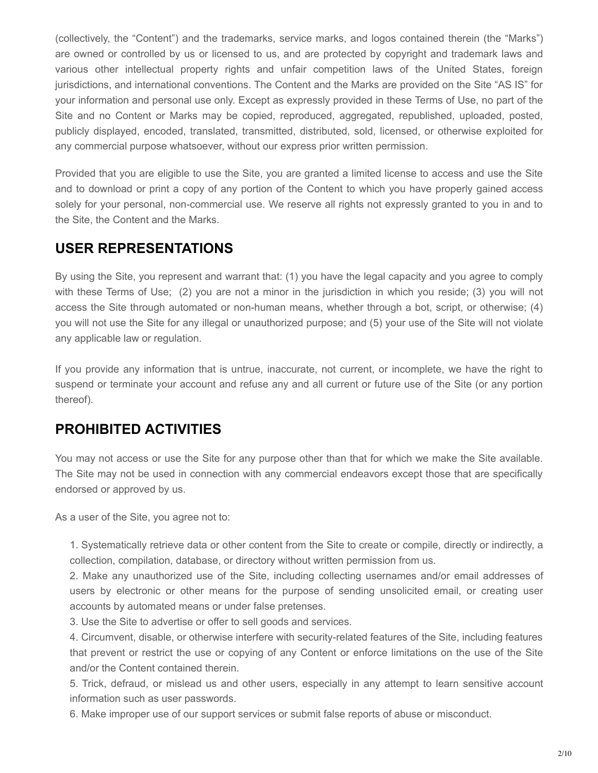(collectively, the "Content") and the trademarks, service marks, and logos contained therein (the "Marks") are owned or controlled by us or licensed to us, and are protected by copyright and trademark laws and various other intellectual property rights and unfair competition laws of the United States, foreign jurisdictions, and international conventions. The Content and the Marks are provided on the Site "AS IS" for your information and personal use only. Except as expressly provided in these Terms of Use, no part of the Site and no Content or Marks may be copied, reproduced, aggregated, republished, uploaded, posted, publicly displayed, encoded, translated, transmitted, distributed, sold, licensed, or otherwise exploited for any commercial purpose whatsoever, without our express prior written permission.

Provided that you are eligible to use the Site, you are granted a limited license to access and use the Site and to download or print a copy of any portion of the Content to which you have properly gained access solely for your personal, non-commercial use. We reserve all rights not expressly granted to you in and to the Site, the Content and the Marks.

### **USER REPRESENTATIONS**

By using the Site, you represent and warrant that: (1) you have the legal capacity and you agree to comply with these Terms of Use; (2) you are not a minor in the jurisdiction in which you reside; (3) you will not access the Site through automated or non-human means, whether through a bot, script, or otherwise; (4) you will not use the Site for any illegal or unauthorized purpose; and (5) your use of the Site will not violate any applicable law or regulation.

If you provide any information that is untrue, inaccurate, not current, or incomplete, we have the right to suspend or terminate your account and refuse any and all current or future use of the Site (or any portion thereof).

### **PROHIBITED ACTIVITIES**

You may not access or use the Site for any purpose other than that for which we make the Site available. The Site may not be used in connection with any commercial endeavors except those that are specifically endorsed or approved by us.

As a user of the Site, you agree not to:

1. Systematically retrieve data or other content from the Site to create or compile, directly or indirectly, a collection, compilation, database, or directory without written permission from us.

2. Make any unauthorized use of the Site, including collecting usernames and/or email addresses of users by electronic or other means for the purpose of sending unsolicited email, or creating user accounts by automated means or under false pretenses.

3. Use the Site to advertise or offer to sell goods and services.

4. Circumvent, disable, or otherwise interfere with security-related features of the Site, including features that prevent or restrict the use or copying of any Content or enforce limitations on the use of the Site and/or the Content contained therein.

5. Trick, defraud, or mislead us and other users, especially in any attempt to learn sensitive account information such as user passwords.

6. Make improper use of our support services or submit false reports of abuse or misconduct.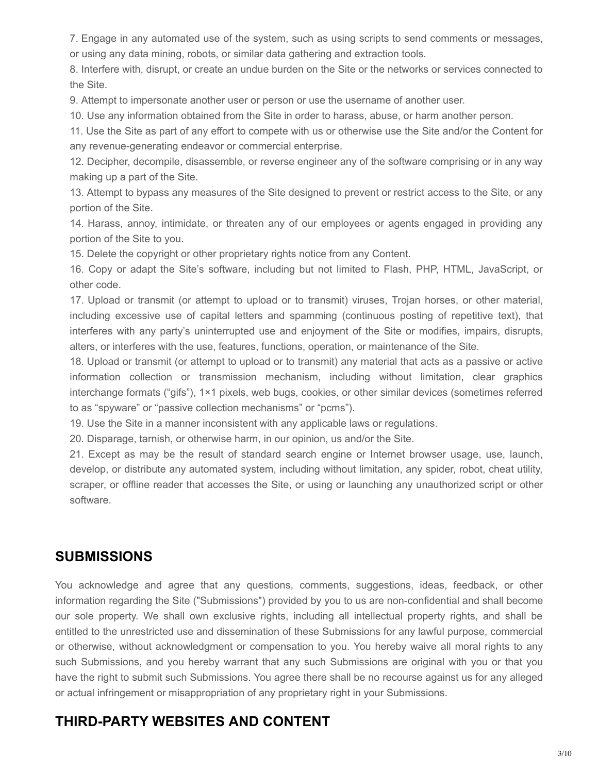7. Engage in any automated use of the system, such as using scripts to send comments or messages, or using any data mining, robots, or similar data gathering and extraction tools.

8. Interfere with, disrupt, or create an undue burden on the Site or the networks or services connected to the Site.

9. Attempt to impersonate another user or person or use the username of another user.

10. Use any information obtained from the Site in order to harass, abuse, or harm another person.

11. Use the Site as part of any effort to compete with us or otherwise use the Site and/or the Content for any revenue-generating endeavor or commercial enterprise.

12. Decipher, decompile, disassemble, or reverse engineer any of the software comprising or in any way making up a part of the Site.

13. Attempt to bypass any measures of the Site designed to prevent or restrict access to the Site, or any portion of the Site.

14. Harass, annoy, intimidate, or threaten any of our employees or agents engaged in providing any portion of the Site to you.

15. Delete the copyright or other proprietary rights notice from any Content.

16. Copy or adapt the Site's software, including but not limited to Flash, PHP, HTML, JavaScript, or other code.

17. Upload or transmit (or attempt to upload or to transmit) viruses, Trojan horses, or other material, including excessive use of capital letters and spamming (continuous posting of repetitive text), that interferes with any party's uninterrupted use and enjoyment of the Site or modifies, impairs, disrupts, alters, or interferes with the use, features, functions, operation, or maintenance of the Site.

18. Upload or transmit (or attempt to upload or to transmit) any material that acts as a passive or active information collection or transmission mechanism, including without limitation, clear graphics interchange formats ("gifs"), 1×1 pixels, web bugs, cookies, or other similar devices (sometimes referred to as "spyware" or "passive collection mechanisms" or "pcms").

19. Use the Site in a manner inconsistent with any applicable laws or regulations.

20. Disparage, tarnish, or otherwise harm, in our opinion, us and/or the Site.

21. Except as may be the result of standard search engine or Internet browser usage, use, launch, develop, or distribute any automated system, including without limitation, any spider, robot, cheat utility, scraper, or offline reader that accesses the Site, or using or launching any unauthorized script or other software.

### **SUBMISSIONS**

You acknowledge and agree that any questions, comments, suggestions, ideas, feedback, or other information regarding the Site ("Submissions") provided by you to us are nonconfidential and shall become our sole property. We shall own exclusive rights, including all intellectual property rights, and shall be entitled to the unrestricted use and dissemination of these Submissions for any lawful purpose, commercial or otherwise, without acknowledgment or compensation to you. You hereby waive all moral rights to any such Submissions, and you hereby warrant that any such Submissions are original with vou or that vou have the right to submit such Submissions. You agree there shall be no recourse against us for any alleged or actual infringement or misappropriation of any proprietary right in your Submissions.

# **THIRD-PARTY WEBSITES AND CONTENT**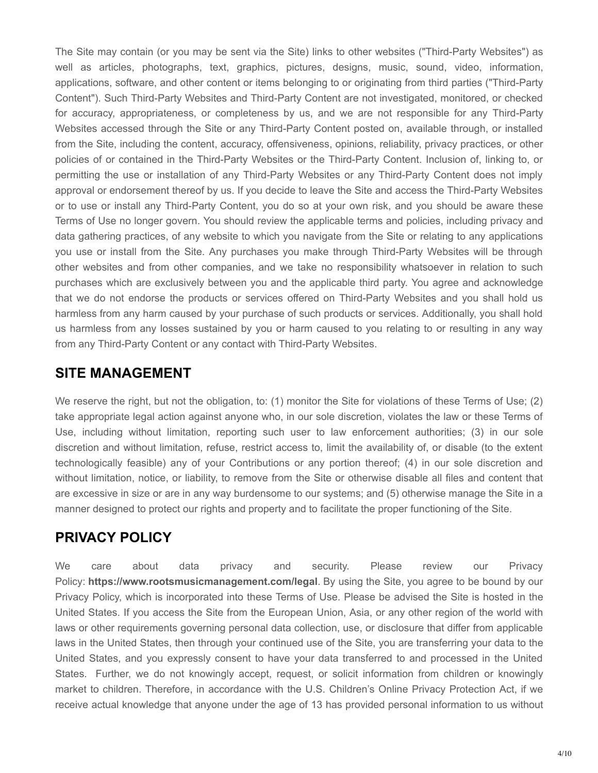The Site may contain (or you may be sent via the Site) links to other websites ("Third-Party Websites") as well as articles, photographs, text, graphics, pictures, designs, music, sound, video, information, applications, software, and other content or items belonging to or originating from third parties ("Third-Party Content"). Such Third-Party Websites and Third-Party Content are not investigated, monitored, or checked for accuracy, appropriateness, or completeness by us, and we are not responsible for any Third-Party Websites accessed through the Site or any Third-Party Content posted on, available through, or installed from the Site, including the content, accuracy, offensiveness, opinions, reliability, privacy practices, or other policies of or contained in the Third-Party Websites or the Third-Party Content. Inclusion of, linking to, or permitting the use or installation of any Third-Party Websites or any Third-Party Content does not imply approval or endorsement thereof by us. If you decide to leave the Site and access the Third-Party Websites or to use or install any Third-Party Content, you do so at your own risk, and you should be aware these Terms of Use no longer govern. You should review the applicable terms and policies, including privacy and data gathering practices, of any website to which you navigate from the Site or relating to any applications you use or install from the Site. Any purchases you make through Third-Party Websites will be through other websites and from other companies, and we take no responsibility whatsoever in relation to such purchases which are exclusively between you and the applicable third party. You agree and acknowledge that we do not endorse the products or services offered on Third-Party Websites and you shall hold us harmless from any harm caused by your purchase of such products or services. Additionally, you shall hold us harmless from any losses sustained by you or harm caused to you relating to or resulting in any way from any Third-Party Content or any contact with Third-Party Websites.

### **SITE MANAGEMENT**

We reserve the right, but not the obligation, to: (1) monitor the Site for violations of these Terms of Use; (2) take appropriate legal action against anyone who, in our sole discretion, violates the law or these Terms of Use, including without limitation, reporting such user to law enforcement authorities; (3) in our sole discretion and without limitation, refuse, restrict access to, limit the availability of, or disable (to the extent technologically feasible) any of your Contributions or any portion thereof; (4) in our sole discretion and without limitation, notice, or liability, to remove from the Site or otherwise disable all files and content that are excessive in size or are in any way burdensome to our systems; and (5) otherwise manage the Site in a manner designed to protect our rights and property and to facilitate the proper functioning of the Site.

# **PRIVACY POLICY**

We care about data privacy and security. Please review our Privacy Policy: **https://www.rootsmusicmanagement.com/legal**. By using the Site, you agree to be bound by our Privacy Policy, which is incorporated into these Terms of Use. Please be advised the Site is hosted in the United States. If you access the Site from the European Union, Asia, or any other region of the world with laws or other requirements governing personal data collection, use, or disclosure that differ from applicable laws in the United States, then through your continued use of the Site, you are transferring your data to the United States, and you expressly consent to have your data transferred to and processed in the United States. Further, we do not knowingly accept, request, or solicit information from children or knowingly market to children. Therefore, in accordance with the U.S. Children's Online Privacy Protection Act, if we receive actual knowledge that anyone under the age of 13 has provided personal information to us without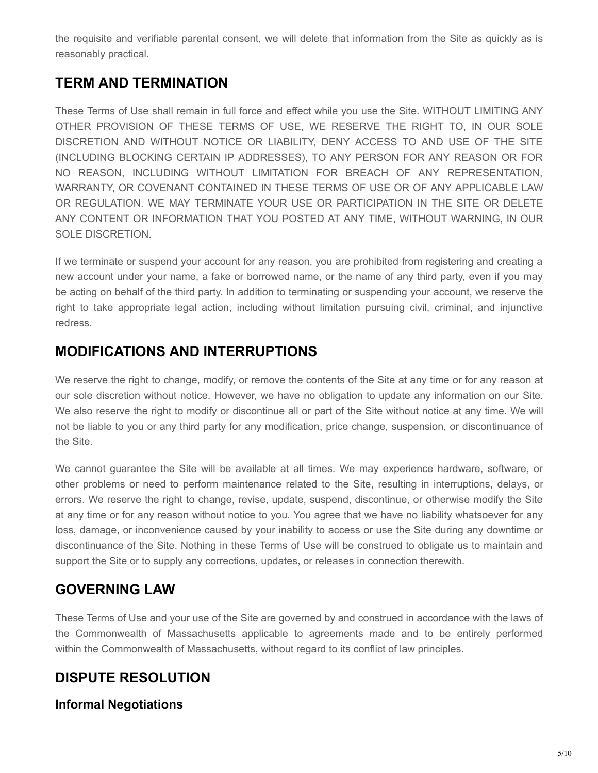the requisite and verifiable parental consent, we will delete that information from the Site as quickly as is reasonably practical.

### **TERM AND TERMINATION**

These Terms of Use shall remain in full force and effect while you use the Site. WITHOUT LIMITING ANY OTHER PROVISION OF THESE TERMS OF USE, WE RESERVE THE RIGHT TO, IN OUR SOLE DISCRETION AND WITHOUT NOTICE OR LIABILITY, DENY ACCESS TO AND USE OF THE SITE (INCLUDING BLOCKING CERTAIN IP ADDRESSES), TO ANY PERSON FOR ANY REASON OR FOR NO REASON, INCLUDING WITHOUT LIMITATION FOR BREACH OF ANY REPRESENTATION, WARRANTY, OR COVENANT CONTAINED IN THESE TERMS OF USE OR OF ANY APPLICABLE LAW OR REGULATION. WE MAY TERMINATE YOUR USE OR PARTICIPATION IN THE SITE OR DELETE ANY CONTENT OR INFORMATION THAT YOU POSTED AT ANY TIME, WITHOUT WARNING, IN OUR SOLE DISCRETION.

If we terminate or suspend your account for any reason, you are prohibited from registering and creating a new account under your name, a fake or borrowed name, or the name of any third party, even if you may be acting on behalf of the third party. In addition to terminating or suspending your account, we reserve the right to take appropriate legal action, including without limitation pursuing civil, criminal, and injunctive redress.

# **MODIFICATIONS AND INTERRUPTIONS**

We reserve the right to change, modify, or remove the contents of the Site at any time or for any reason at our sole discretion without notice. However, we have no obligation to update any information on our Site. We also reserve the right to modify or discontinue all or part of the Site without notice at any time. We will not be liable to you or any third party for any modification, price change, suspension, or discontinuance of the Site.

We cannot guarantee the Site will be available at all times. We may experience hardware, software, or other problems or need to perform maintenance related to the Site, resulting in interruptions, delays, or errors. We reserve the right to change, revise, update, suspend, discontinue, or otherwise modify the Site at any time or for any reason without notice to you. You agree that we have no liability whatsoever for any loss, damage, or inconvenience caused by your inability to access or use the Site during any downtime or discontinuance of the Site. Nothing in these Terms of Use will be construed to obligate us to maintain and support the Site or to supply any corrections, updates, or releases in connection therewith.

### **GOVERNING LAW**

These Terms of Use and your use of the Site are governed by and construed in accordance with the laws of the Commonwealth of Massachusetts applicable to agreements made and to be entirely performed within the Commonwealth of Massachusetts, without regard to its conflict of law principles.

# **DISPUTE RESOLUTION**

#### **Informal Negotiations**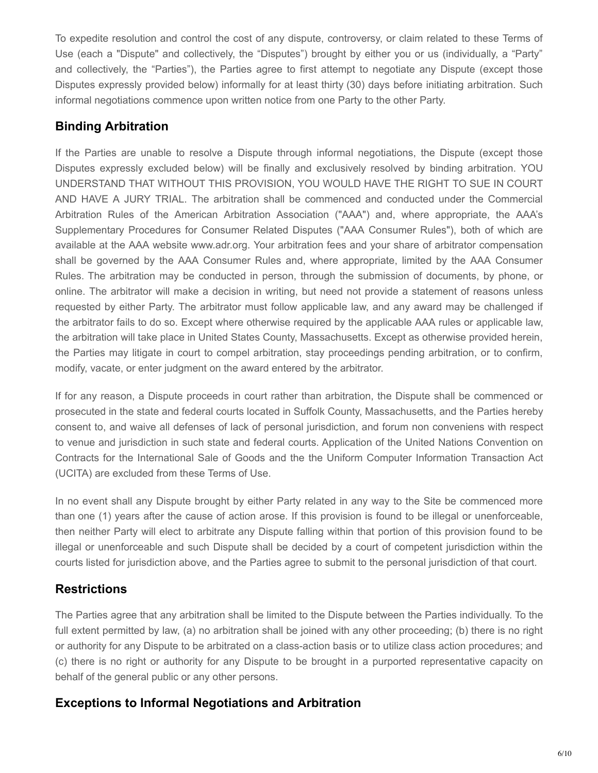To expedite resolution and control the cost of any dispute, controversy, or claim related to these Terms of Use (each a "Dispute" and collectively, the "Disputes") brought by either you or us (individually, a "Party" and collectively, the "Parties"), the Parties agree to first attempt to negotiate any Dispute (except those Disputes expressly provided below) informally for at least thirty (30) days before initiating arbitration. Such informal negotiations commence upon written notice from one Party to the other Party.

#### **Binding Arbitration**

If the Parties are unable to resolve a Dispute through informal negotiations, the Dispute (except those Disputes expressly excluded below) will be finally and exclusively resolved by binding arbitration. YOU UNDERSTAND THAT WITHOUT THIS PROVISION, YOU WOULD HAVE THE RIGHT TO SUE IN COURT AND HAVE A JURY TRIAL. The arbitration shall be commenced and conducted under the Commercial Arbitration Rules of the American Arbitration Association ("AAA") and, where appropriate, the AAA's Supplementary Procedures for Consumer Related Disputes ("AAA Consumer Rules"), both of which are available at the AAA website www.adr.org. Your arbitration fees and your share of arbitrator compensation shall be governed by the AAA Consumer Rules and, where appropriate, limited by the AAA Consumer Rules. The arbitration may be conducted in person, through the submission of documents, by phone, or online. The arbitrator will make a decision in writing, but need not provide a statement of reasons unless requested by either Party. The arbitrator must follow applicable law, and any award may be challenged if the arbitrator fails to do so. Except where otherwise required by the applicable AAA rules or applicable law, the arbitration will take place in United States County, Massachusetts. Except as otherwise provided herein, the Parties may litigate in court to compel arbitration, stay proceedings pending arbitration, or to confirm, modify, vacate, or enter judgment on the award entered by the arbitrator.

If for any reason, a Dispute proceeds in court rather than arbitration, the Dispute shall be commenced or prosecuted in the state and federal courts located in Suffolk County, Massachusetts, and the Parties hereby consent to, and waive all defenses of lack of personal jurisdiction, and forum non conveniens with respect to venue and jurisdiction in such state and federal courts. Application of the United Nations Convention on Contracts for the International Sale of Goods and the the Uniform Computer Information Transaction Act (UCITA) are excluded from these Terms of Use.

In no event shall any Dispute brought by either Party related in any way to the Site be commenced more than one (1) years after the cause of action arose. If this provision is found to be illegal or unenforceable, then neither Party will elect to arbitrate any Dispute falling within that portion of this provision found to be illegal or unenforceable and such Dispute shall be decided by a court of competent jurisdiction within the courts listed for jurisdiction above, and the Parties agree to submit to the personal jurisdiction of that court.

#### **Restrictions**

The Parties agree that any arbitration shall be limited to the Dispute between the Parties individually. To the full extent permitted by law, (a) no arbitration shall be joined with any other proceeding; (b) there is no right or authority for any Dispute to be arbitrated on a class-action basis or to utilize class action procedures; and (c) there is no right or authority for any Dispute to be brought in a purported representative capacity on behalf of the general public or any other persons.

#### **Exceptions to Informal Negotiations and Arbitration**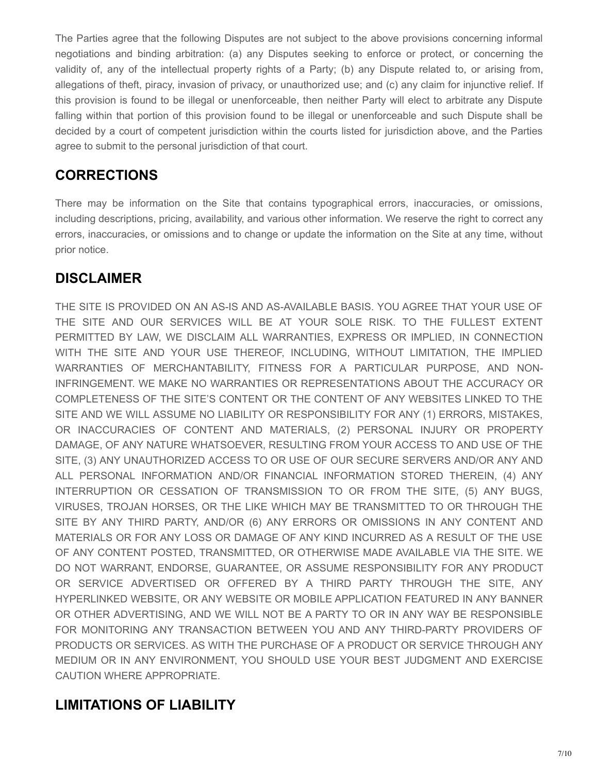The Parties agree that the following Disputes are not subject to the above provisions concerning informal negotiations and binding arbitration: (a) any Disputes seeking to enforce or protect, or concerning the validity of, any of the intellectual property rights of a Party; (b) any Dispute related to, or arising from, allegations of theft, piracy, invasion of privacy, or unauthorized use; and (c) any claim for injunctive relief. If this provision is found to be illegal or unenforceable, then neither Party will elect to arbitrate any Dispute falling within that portion of this provision found to be illegal or unenforceable and such Dispute shall be decided by a court of competent jurisdiction within the courts listed for jurisdiction above, and the Parties agree to submit to the personal jurisdiction of that court.

# **CORRECTIONS**

There may be information on the Site that contains typographical errors, inaccuracies, or omissions, including descriptions, pricing, availability, and various other information. We reserve the right to correct any errors, inaccuracies, or omissions and to change or update the information on the Site at any time, without prior notice.

# **DISCLAIMER**

THE SITE IS PROVIDED ON AN AS-IS AND AS-AVAILABLE BASIS. YOU AGREE THAT YOUR USE OF THE SITE AND OUR SERVICES WILL BE AT YOUR SOLE RISK. TO THE FULLEST EXTENT PERMITTED BY LAW, WE DISCLAIM ALL WARRANTIES, EXPRESS OR IMPLIED, IN CONNECTION WITH THE SITE AND YOUR USE THEREOF, INCLUDING, WITHOUT LIMITATION, THE IMPLIED WARRANTIES OF MERCHANTABILITY, FITNESS FOR A PARTICULAR PURPOSE, AND NON-INFRINGEMENT. WE MAKE NO WARRANTIES OR REPRESENTATIONS ABOUT THE ACCURACY OR COMPLETENESS OF THE SITE'S CONTENT OR THE CONTENT OF ANY WEBSITES LINKED TO THE SITE AND WE WILL ASSUME NO LIABILITY OR RESPONSIBILITY FOR ANY (1) ERRORS, MISTAKES, OR INACCURACIES OF CONTENT AND MATERIALS, (2) PERSONAL INJURY OR PROPERTY DAMAGE, OF ANY NATURE WHATSOEVER, RESULTING FROM YOUR ACCESS TO AND USE OF THE SITE, (3) ANY UNAUTHORIZED ACCESS TO OR USE OF OUR SECURE SERVERS AND/OR ANY AND ALL PERSONAL INFORMATION AND/OR FINANCIAL INFORMATION STORED THEREIN, (4) ANY INTERRUPTION OR CESSATION OF TRANSMISSION TO OR FROM THE SITE, (5) ANY BUGS, VIRUSES, TROJAN HORSES, OR THE LIKE WHICH MAY BE TRANSMITTED TO OR THROUGH THE SITE BY ANY THIRD PARTY, AND/OR (6) ANY ERRORS OR OMISSIONS IN ANY CONTENT AND MATERIALS OR FOR ANY LOSS OR DAMAGE OF ANY KIND INCURRED AS A RESULT OF THE USE OF ANY CONTENT POSTED, TRANSMITTED, OR OTHERWISE MADE AVAILABLE VIA THE SITE. WE DO NOT WARRANT, ENDORSE, GUARANTEE, OR ASSUME RESPONSIBILITY FOR ANY PRODUCT OR SERVICE ADVERTISED OR OFFERED BY A THIRD PARTY THROUGH THE SITE, ANY HYPERLINKED WEBSITE, OR ANY WEBSITE OR MOBILE APPLICATION FEATURED IN ANY BANNER OR OTHER ADVERTISING, AND WE WILL NOT BE A PARTY TO OR IN ANY WAY BE RESPONSIBLE FOR MONITORING ANY TRANSACTION BETWEEN YOU AND ANY THIRD-PARTY PROVIDERS OF PRODUCTS OR SERVICES. AS WITH THE PURCHASE OF A PRODUCT OR SERVICE THROUGH ANY MEDIUM OR IN ANY ENVIRONMENT, YOU SHOULD USE YOUR BEST JUDGMENT AND EXERCISE CAUTION WHERE APPROPRIATE.

# **LIMITATIONS OF LIABILITY**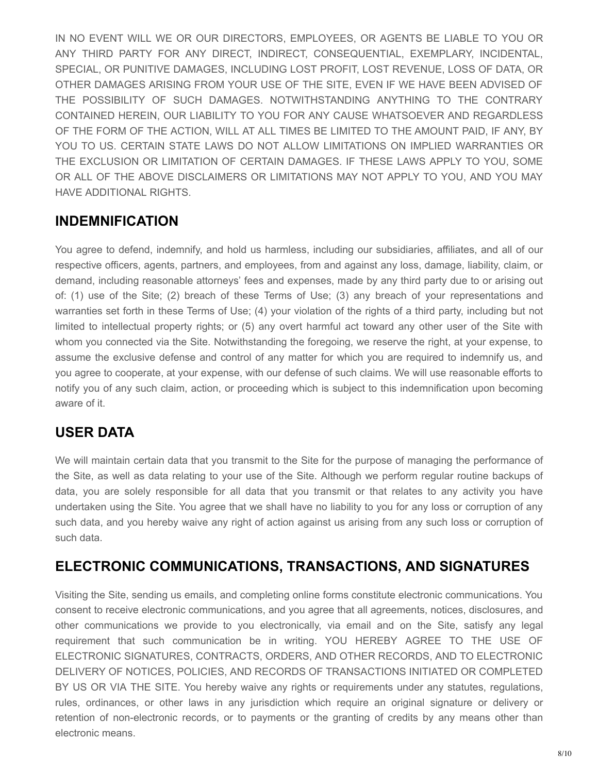IN NO EVENT WILL WE OR OUR DIRECTORS, EMPLOYEES, OR AGENTS BE LIABLE TO YOU OR ANY THIRD PARTY FOR ANY DIRECT, INDIRECT, CONSEQUENTIAL, EXEMPLARY, INCIDENTAL, SPECIAL, OR PUNITIVE DAMAGES, INCLUDING LOST PROFIT, LOST REVENUE, LOSS OF DATA, OR OTHER DAMAGES ARISING FROM YOUR USE OF THE SITE, EVEN IF WE HAVE BEEN ADVISED OF THE POSSIBILITY OF SUCH DAMAGES. NOTWITHSTANDING ANYTHING TO THE CONTRARY CONTAINED HEREIN, OUR LIABILITY TO YOU FOR ANY CAUSE WHATSOEVER AND REGARDLESS OF THE FORM OF THE ACTION, WILL AT ALL TIMES BE LIMITED TO THE AMOUNT PAID, IF ANY, BY YOU TO US. CERTAIN STATE LAWS DO NOT ALLOW LIMITATIONS ON IMPLIED WARRANTIES OR THE EXCLUSION OR LIMITATION OF CERTAIN DAMAGES. IF THESE LAWS APPLY TO YOU, SOME OR ALL OF THE ABOVE DISCLAIMERS OR LIMITATIONS MAY NOT APPLY TO YOU, AND YOU MAY HAVE ADDITIONAL RIGHTS.

# **INDEMNIFICATION**

You agree to defend, indemnify, and hold us harmless, including our subsidiaries, affiliates, and all of our respective officers, agents, partners, and employees, from and against any loss, damage, liability, claim, or demand, including reasonable attorneys' fees and expenses, made by any third party due to or arising out of: (1) use of the Site; (2) breach of these Terms of Use; (3) any breach of your representations and warranties set forth in these Terms of Use; (4) your violation of the rights of a third party, including but not limited to intellectual property rights; or (5) any overt harmful act toward any other user of the Site with whom you connected via the Site. Notwithstanding the foregoing, we reserve the right, at your expense, to assume the exclusive defense and control of any matter for which you are required to indemnify us, and you agree to cooperate, at your expense, with our defense of such claims. We will use reasonable efforts to notify you of any such claim, action, or proceeding which is subject to this indemnification upon becoming aware of it.

### **USER DATA**

We will maintain certain data that you transmit to the Site for the purpose of managing the performance of the Site, as well as data relating to your use of the Site. Although we perform regular routine backups of data, you are solely responsible for all data that you transmit or that relates to any activity you have undertaken using the Site. You agree that we shall have no liability to you for any loss or corruption of any such data, and you hereby waive any right of action against us arising from any such loss or corruption of such data.

### **ELECTRONIC COMMUNICATIONS, TRANSACTIONS, AND SIGNATURES**

Visiting the Site, sending us emails, and completing online forms constitute electronic communications. You consent to receive electronic communications, and you agree that all agreements, notices, disclosures, and other communications we provide to you electronically, via email and on the Site, satisfy any legal requirement that such communication be in writing. YOU HEREBY AGREE TO THE USE OF ELECTRONIC SIGNATURES, CONTRACTS, ORDERS, AND OTHER RECORDS, AND TO ELECTRONIC DELIVERY OF NOTICES, POLICIES, AND RECORDS OF TRANSACTIONS INITIATED OR COMPLETED BY US OR VIA THE SITE. You hereby waive any rights or requirements under any statutes, regulations, rules, ordinances, or other laws in any jurisdiction which require an original signature or delivery or retention of non-electronic records, or to payments or the granting of credits by any means other than electronic means.